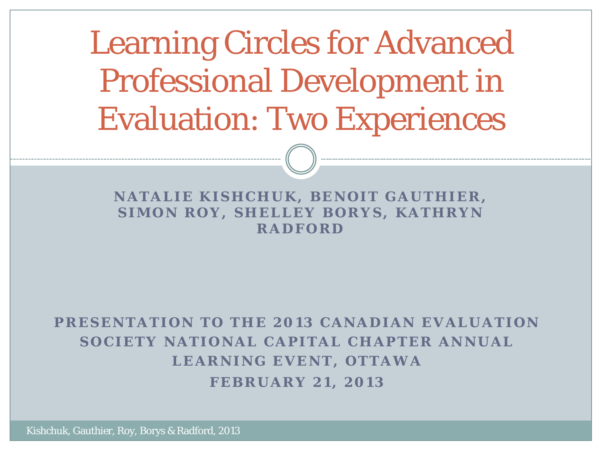Learning Circles for Advanced Professional Development in Evaluation: Two Experiences

#### **NATALIE KISHCHUK, BENOIT GAUTHIER, SIMON ROY, SHELLEY BORYS, KATHRYN RADFORD**

#### **PRESENTATION TO THE 2013 CANADIAN EVALUATION SOCIETY NATIONAL CAPITAL CHAPTER ANNUAL LEARNING EVENT, OTTAWA**

**FEBRUARY 21, 2013**

Kishchuk, Gauthier, Roy, Borys & Radford, 2013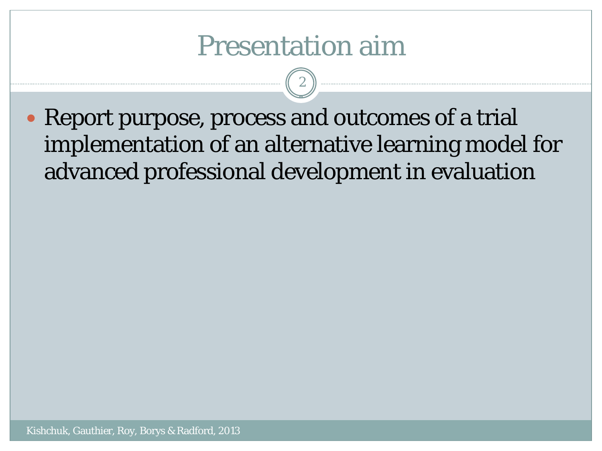## Presentation aim

2

 Report purpose, process and outcomes of a trial implementation of an alternative learning model for advanced professional development in evaluation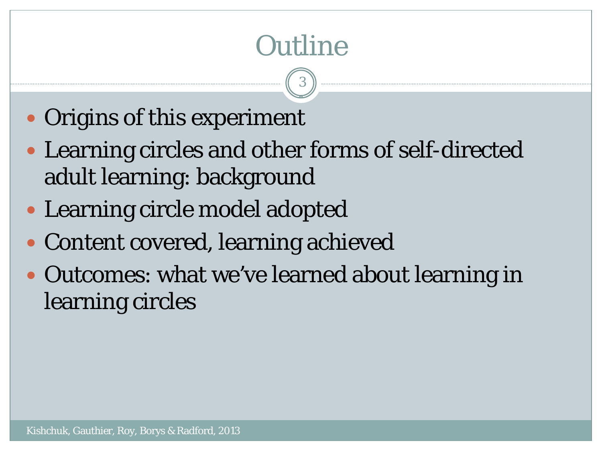# **Outline**

3

- Origins of this experiment
- Learning circles and other forms of self-directed adult learning: background
- Learning circle model adopted
- Content covered, learning achieved
- Outcomes: what we've learned about learning in learning circles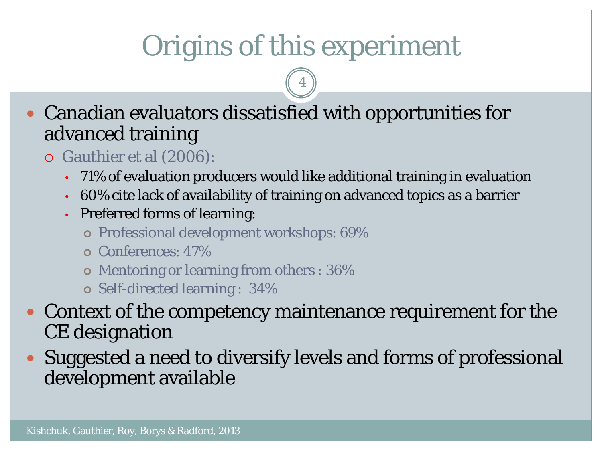# Origins of this experiment

4

 Canadian evaluators dissatisfied with opportunities for advanced training

- Gauthier et al (2006):
	- 71% of evaluation producers would like additional training in evaluation
	- 60% cite lack of availability of training on advanced topics as a barrier
	- Preferred forms of learning:
		- Professional development workshops: 69%
		- Conferences: 47%
		- Mentoring or learning from others : 36%
		- Self-directed learning : 34%
- Context of the competency maintenance requirement for the CE designation
- Suggested a need to diversify levels and forms of professional development available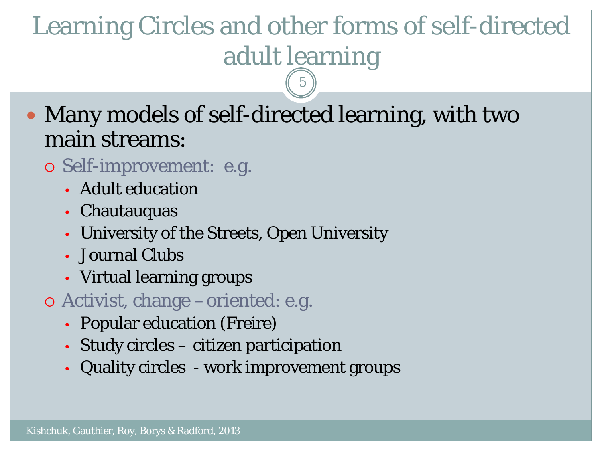# Learning Circles and other forms of self-directed adult learning

5

 Many models of self-directed learning, with two main streams:

- Self-improvement: e.g.
	- Adult education
	- Chautauquas
	- University of the Streets, Open University
	- Journal Clubs
	- Virtual learning groups
- Activist, change –oriented: e.g.
	- Popular education (Freire)
	- Study circles citizen participation
	- Quality circles work improvement groups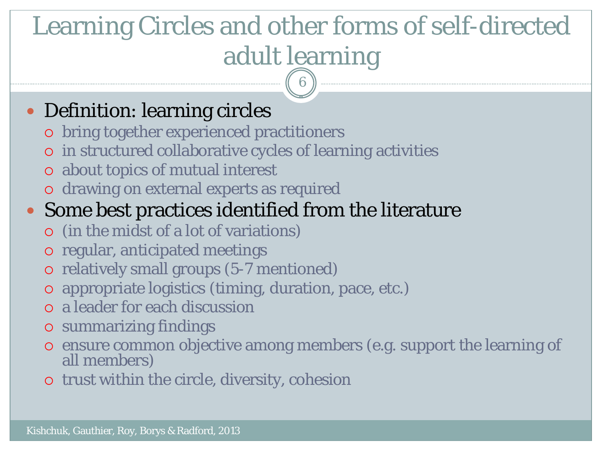# Learning Circles and other forms of self-directed adult learning

6

#### • Definition: learning circles

- bring together experienced practitioners
- in structured collaborative cycles of learning activities
- about topics of mutual interest
- drawing on external experts as required

#### Some best practices identified from the literature

- (in the midst of a lot of variations)
- o regular, anticipated meetings
- relatively small groups (5-7 mentioned)
- appropriate logistics (timing, duration, pace, etc.)
- a leader for each discussion
- summarizing findings
- ensure common objective among members (e.g. support the learning of all members)
- trust within the circle, diversity, cohesion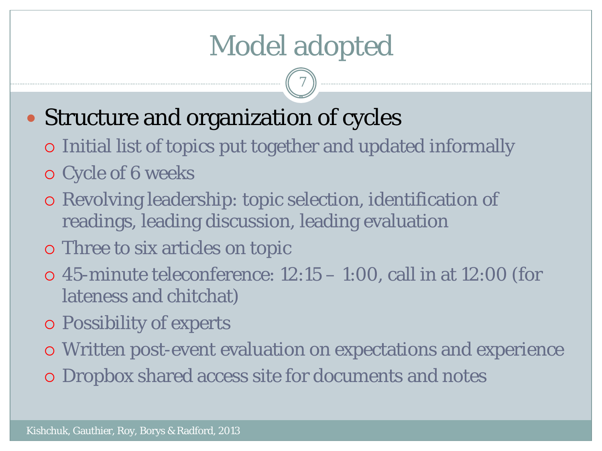# Model adopted

7

### Structure and organization of cycles

- Initial list of topics put together and updated informally
- Cycle of 6 weeks
- Revolving leadership: topic selection, identification of readings, leading discussion, leading evaluation
- Three to six articles on topic
- $\circ$  45-minute teleconference: 12:15 1:00, call in at 12:00 (for lateness and chitchat)
- Possibility of experts
- Written post-event evaluation on expectations and experience
- Dropbox shared access site for documents and notes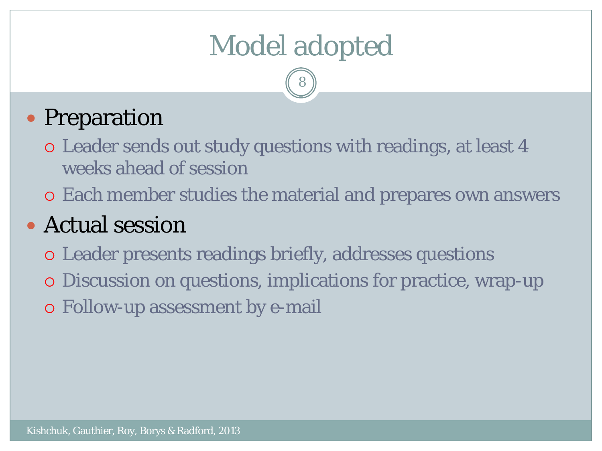# Model adopted

8

### • Preparation

- Leader sends out study questions with readings, at least 4 weeks ahead of session
- Each member studies the material and prepares own answers

### Actual session

- Leader presents readings briefly, addresses questions
- Discussion on questions, implications for practice, wrap-up
- Follow-up assessment by e-mail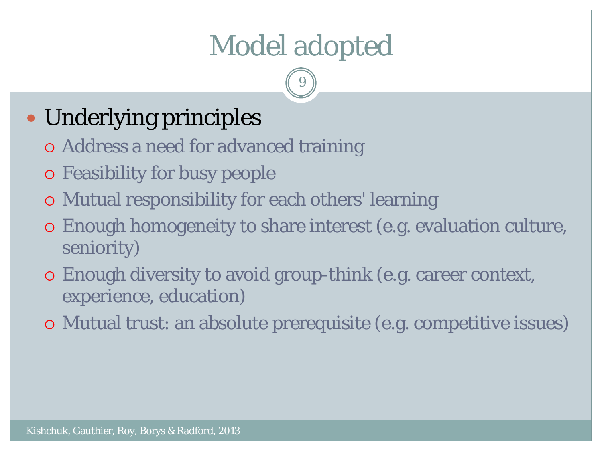# Model adopted

9

## • Underlying principles

- Address a need for advanced training
- Feasibility for busy people
- Mutual responsibility for each others' learning
- Enough homogeneity to share interest (e.g. evaluation culture, seniority)
- Enough diversity to avoid group-think (e.g. career context, experience, education)
- Mutual trust: an absolute prerequisite (e.g. competitive issues)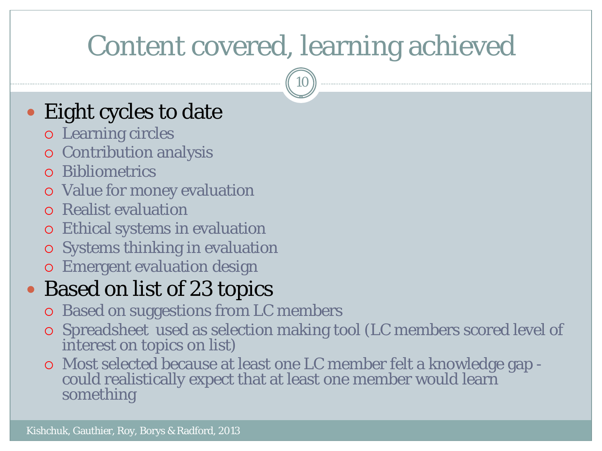10

### • Eight cycles to date

- Learning circles
- Contribution analysis
- Bibliometrics
- Value for money evaluation
- Realist evaluation
- Ethical systems in evaluation
- o Systems thinking in evaluation
- Emergent evaluation design

### • Based on list of 23 topics

- Based on suggestions from LC members
- Spreadsheet used as selection making tool (LC members scored level of interest on topics on list)
- Most selected because at least one LC member felt a knowledge gap could realistically expect that at least one member would learn something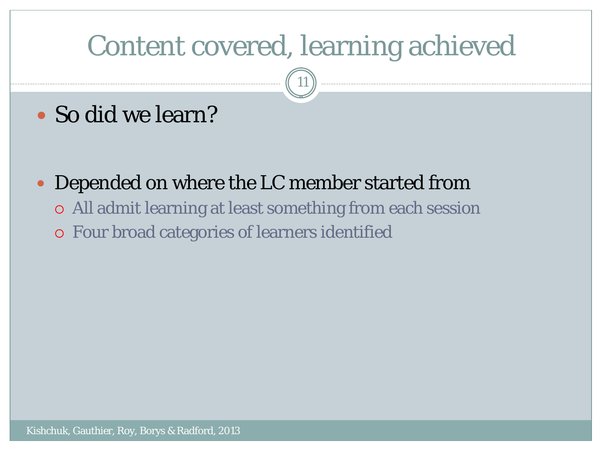11

### So did we learn?

Depended on where the LC member started from

- All admit learning at least something from each session
- Four broad categories of learners identified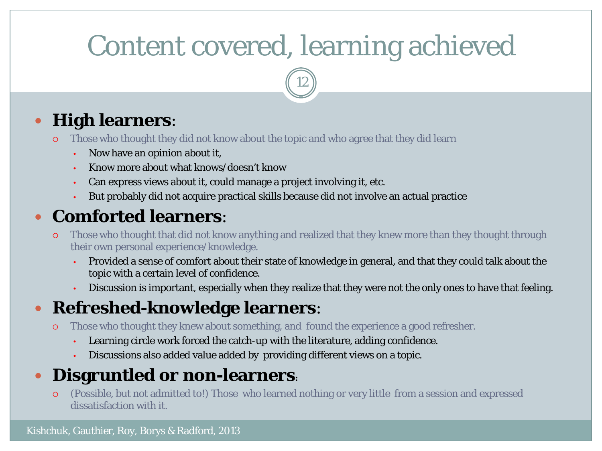12

#### **High learners**:

- Those who thought they did not know about the topic and who agree that they did learn
	- Now have an opinion about it,
	- Know more about what knows/doesn't know
	- Can express views about it, could manage a project involving it, etc.
	- But probably did not acquire practical skills because did not involve an actual practice

#### **Comforted learners**:

- Those who thought that did not know anything and realized that they knew more than they thought through their own personal experience/knowledge.
	- Provided a sense of comfort about their state of knowledge in general, and that they could talk about the topic with a certain level of confidence.
	- Discussion is important, especially when they realize that they were not the only ones to have that feeling.

#### **Refreshed-knowledge learners**:

- Those who thought they knew about something, and found the experience a good refresher.
	- Learning circle work forced the catch-up with the literature, adding confidence.
	- Discussions also added value added by providing different views on a topic.

#### **Disgruntled or non-learners:**

 (Possible, but not admitted to!) Those who learned nothing or very little from a session and expressed dissatisfaction with it.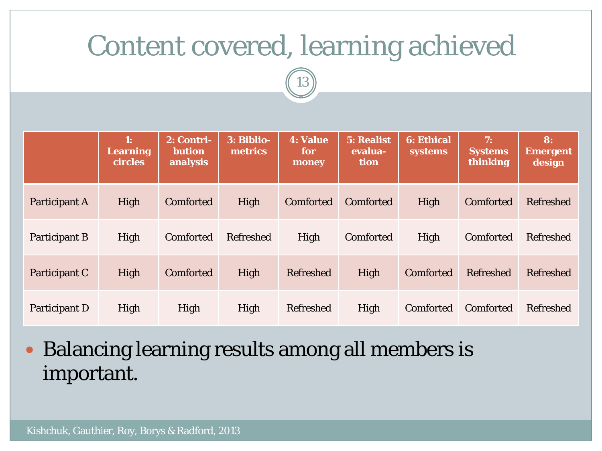

|                      | 1:<br><b>Learning</b><br><b>circles</b> | 2: Contri-<br><b>bution</b><br>analysis | 3: Biblio-<br>metrics | <b>4: Value</b><br>for<br>money | 5: Realist<br>evalua-<br>tion | <b>6: Ethical</b><br><b>systems</b> | 7:<br><b>Systems</b><br>thinking | 8:<br><b>Emergent</b><br>design |
|----------------------|-----------------------------------------|-----------------------------------------|-----------------------|---------------------------------|-------------------------------|-------------------------------------|----------------------------------|---------------------------------|
| Participant A        | High                                    | Comforted                               | High                  | Comforted                       | <b>Comforted</b>              | High                                | Comforted                        | <b>Refreshed</b>                |
| <b>Participant B</b> | High                                    | Comforted                               | <b>Refreshed</b>      | High                            | Comforted                     | High                                | Comforted                        | Refreshed                       |
| Participant C        | High                                    | <b>Comforted</b>                        | High                  | Refreshed                       | High                          | Comforted                           | <b>Refreshed</b>                 | <b>Refreshed</b>                |
| Participant D        | High                                    | High                                    | High                  | Refreshed                       | High                          | <b>Comforted</b>                    | <b>Comforted</b>                 | <b>Refreshed</b>                |

 Balancing learning results among all members is important.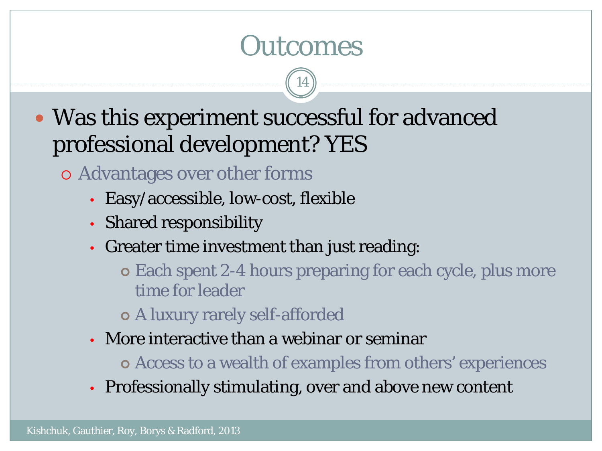## **Outcomes**

14

 Was this experiment successful for advanced professional development? YES

Advantages over other forms

- Easy/accessible, low-cost, flexible
- Shared responsibility
- Greater time investment than just reading:

 Each spent 2-4 hours preparing for each cycle, plus more time for leader

A luxury rarely self-afforded

- More interactive than a webinar or seminar
	- Access to a wealth of examples from others' experiences
- Professionally stimulating, over and above new content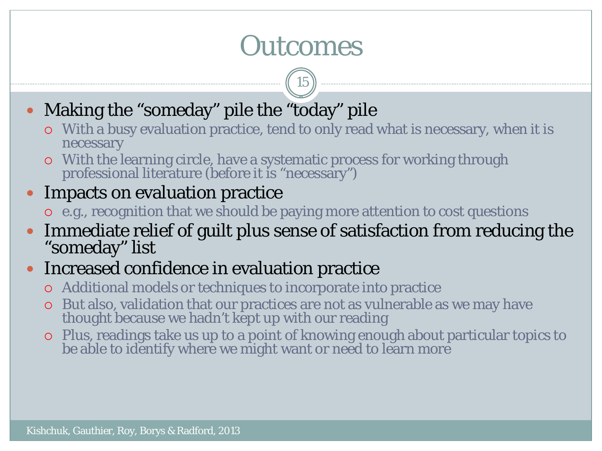# **Outcomes**

15

- Making the "someday" pile the "today" pile
	- With a busy evaluation practice, tend to only read what is necessary, when it is necessary
	- With the learning circle, have a systematic process for working through professional literature (before it is "necessary")

#### Impacts on evaluation practice

- e.g., recognition that we should be paying more attention to cost questions
- Immediate relief of guilt plus sense of satisfaction from reducing the "someday" list

#### • Increased confidence in evaluation practice

- Additional models or techniques to incorporate into practice
- But also, validation that our practices are not as vulnerable as we may have thought because we hadn't kept up with our reading
- Plus, readings take us up to a point of knowing enough about particular topics to be able to identify where we might want or need to learn more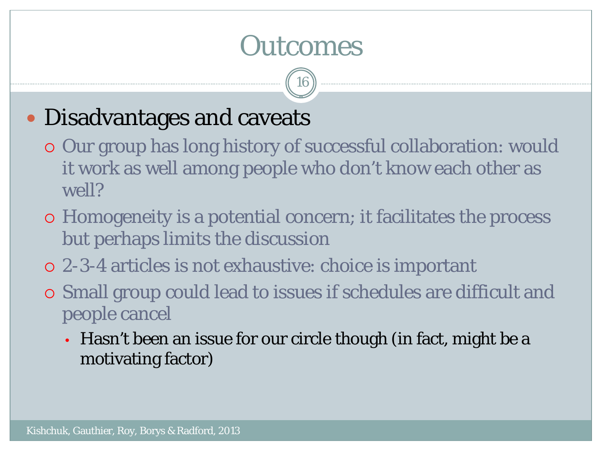## **Outcomes**

16

### Disadvantages and caveats

- Our group has long history of successful collaboration: would it work as well among people who don't know each other as well?
- Homogeneity is a potential concern; it facilitates the process but perhaps limits the discussion
- 2-3-4 articles is not exhaustive: choice is important
- Small group could lead to issues if schedules are difficult and people cancel
	- Hasn't been an issue for our circle though (in fact, might be a motivating factor)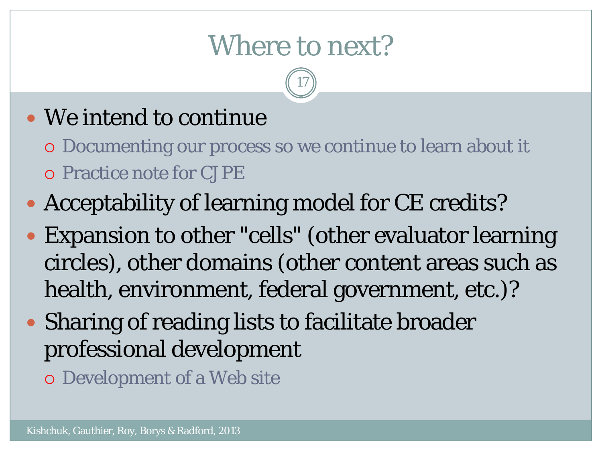## Where to next?

17

### We intend to continue

- Documenting our process so we continue to learn about it Practice note for CJPE
- Acceptability of learning model for CE credits?
- Expansion to other "cells" (other evaluator learning circles), other domains (other content areas such as health, environment, federal government, etc.)?
- Sharing of reading lists to facilitate broader professional development
	- Development of a Web site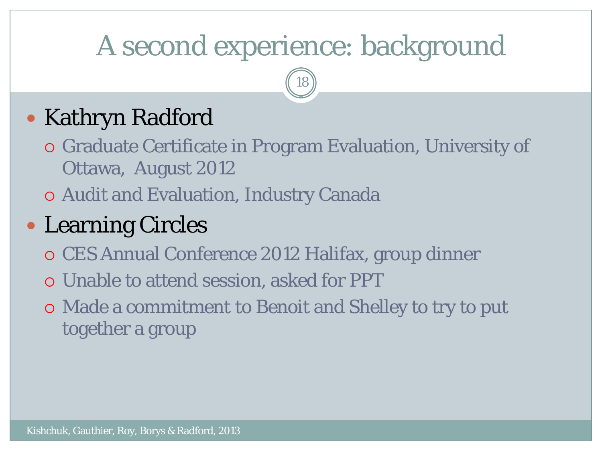# A second experience: background

18

## • Kathryn Radford

- Graduate Certificate in Program Evaluation, University of Ottawa, August 2012
- Audit and Evaluation, Industry Canada

## Learning Circles

- CES Annual Conference 2012 Halifax, group dinner
- Unable to attend session, asked for PPT
- Made a commitment to Benoit and Shelley to try to put together a group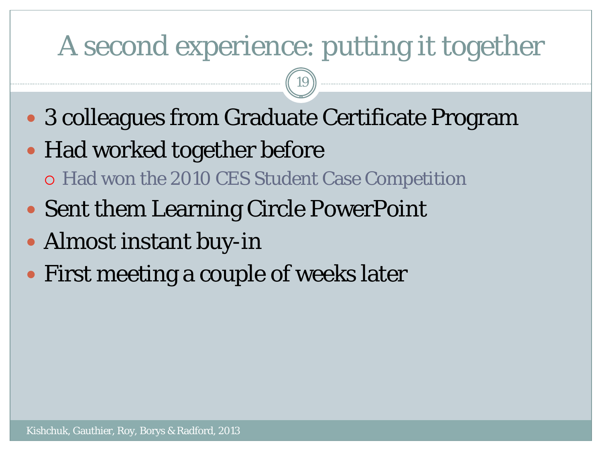## A second experience: putting it together

19

- 3 colleagues from Graduate Certificate Program
- Had worked together before Had won the 2010 CES Student Case Competition
- Sent them Learning Circle PowerPoint
- Almost instant buy-in
- First meeting a couple of weeks later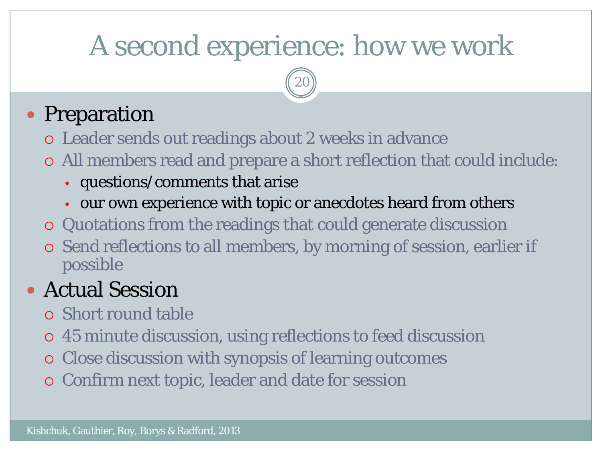# A second experience: how we work

20

### • Preparation

- Leader sends out readings about 2 weeks in advance
- All members read and prepare a short reflection that could include:
	- questions/comments that arise
	- our own experience with topic or anecdotes heard from others
- Quotations from the readings that could generate discussion
- Send reflections to all members, by morning of session, earlier if possible

### Actual Session

- Short round table
- 45 minute discussion, using reflections to feed discussion
- Close discussion with synopsis of learning outcomes
- Confirm next topic, leader and date for session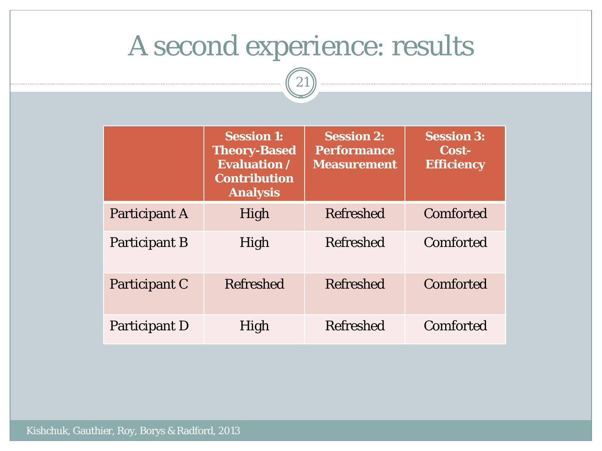## A second experience: results

21

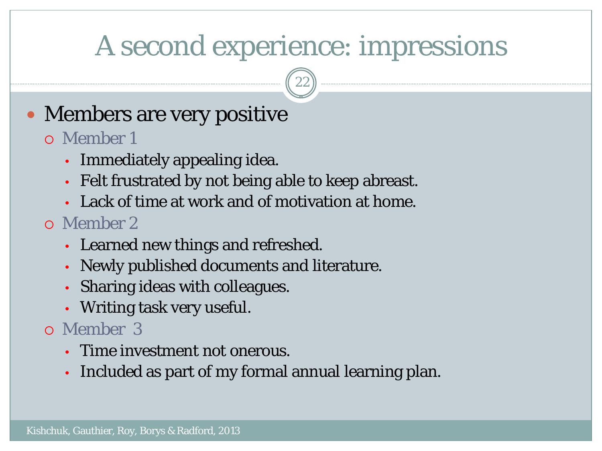## A second experience: impressions

22

### • Members are very positive

#### Member 1

- Immediately appealing idea.
- Felt frustrated by not being able to keep abreast.
- Lack of time at work and of motivation at home.

#### Member 2

- Learned new things and refreshed.
- Newly published documents and literature.
- Sharing ideas with colleagues.
- Writing task very useful.

#### Member 3

- Time investment not onerous.
- Included as part of my formal annual learning plan.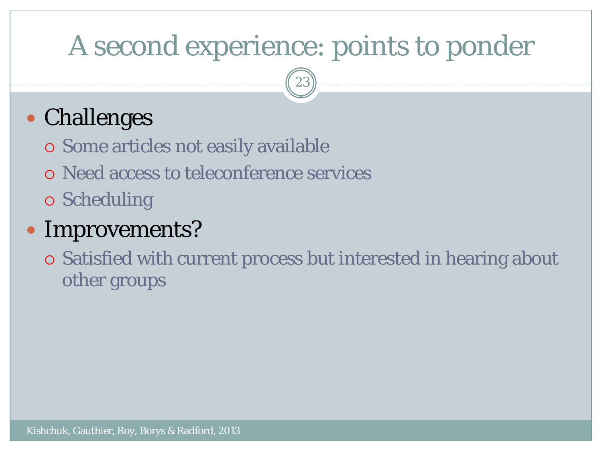# A second experience: points to ponder

23

## Challenges

- Some articles not easily available
- Need access to teleconference services
- Scheduling

### Improvements?

 Satisfied with current process but interested in hearing about other groups